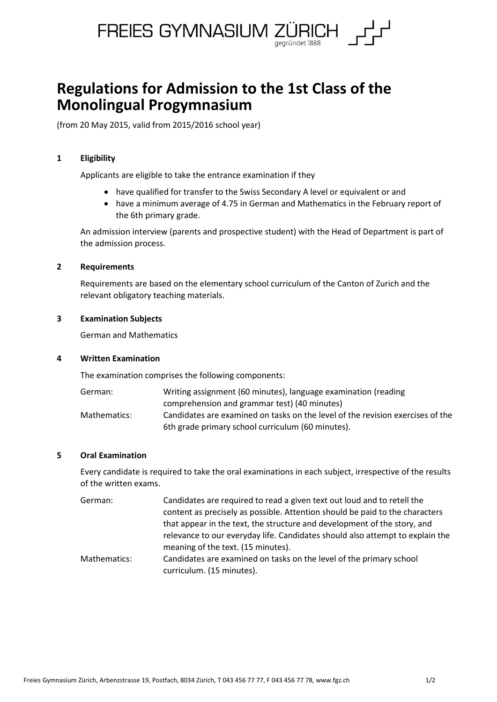

# **Regulations for Admission to the 1st Class of the Monolingual Progymnasium**

(from 20 May 2015, valid from 2015/2016 school year)

## **1 Eligibility**

Applicants are eligible to take the entrance examination if they

- have qualified for transfer to the Swiss Secondary A level or equivalent or and
- have a minimum average of 4.75 in German and Mathematics in the February report of the 6th primary grade.

An admission interview (parents and prospective student) with the Head of Department is part of the admission process.

## **2 Requirements**

Requirements are based on the elementary school curriculum of the Canton of Zurich and the relevant obligatory teaching materials.

### **3 Examination Subjects**

German and Mathematics

## **4 Written Examination**

The examination comprises the following components:

| German:      | Writing assignment (60 minutes), language examination (reading                 |
|--------------|--------------------------------------------------------------------------------|
|              | comprehension and grammar test) (40 minutes)                                   |
| Mathematics: | Candidates are examined on tasks on the level of the revision exercises of the |
|              | 6th grade primary school curriculum (60 minutes).                              |

## **5 Oral Examination**

Every candidate is required to take the oral examinations in each subject, irrespective of the results of the written exams.

| German:      | Candidates are required to read a given text out loud and to retell the       |
|--------------|-------------------------------------------------------------------------------|
|              | content as precisely as possible. Attention should be paid to the characters  |
|              | that appear in the text, the structure and development of the story, and      |
|              | relevance to our everyday life. Candidates should also attempt to explain the |
|              | meaning of the text. (15 minutes).                                            |
| Mathematics: | Candidates are examined on tasks on the level of the primary school           |

curriculum. (15 minutes).